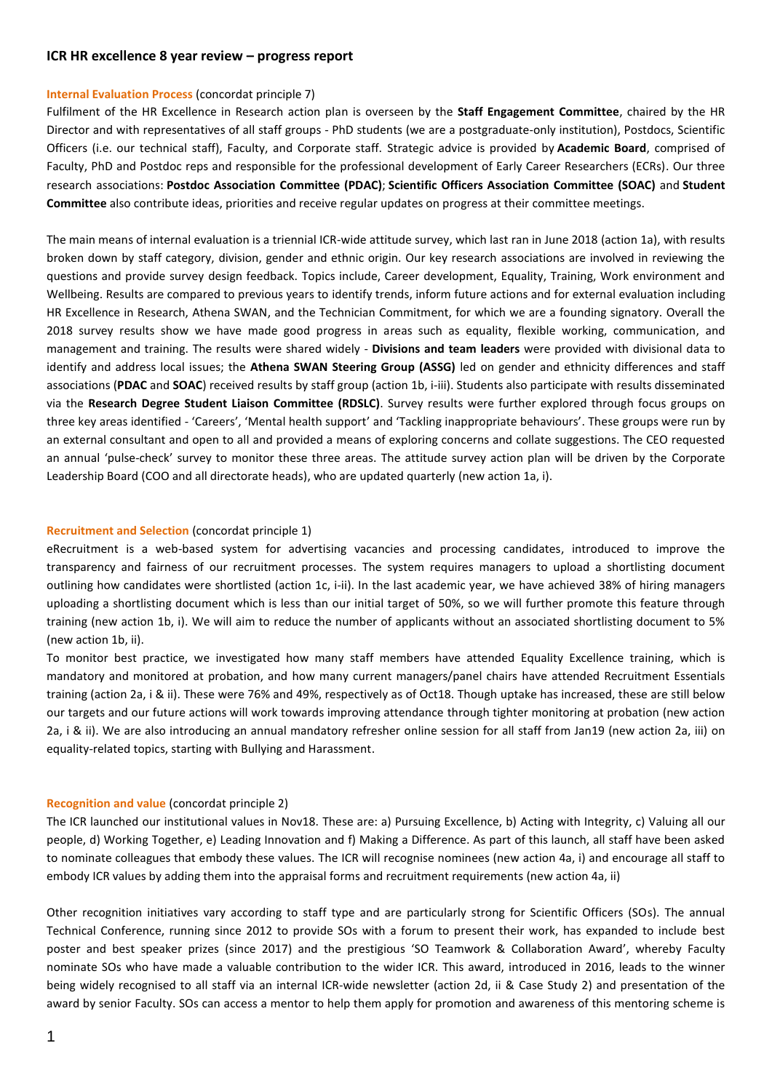# **ICR HR excellence 8 year review – progress report**

### **Internal Evaluation Process** (concordat principle 7)

Fulfilment of the HR Excellence in Research action plan is overseen by the **Staff Engagement Committee**, chaired by the HR Director and with representatives of all staff groups - PhD students (we are a postgraduate-only institution), Postdocs, Scientific Officers (i.e. our technical staff), Faculty, and Corporate staff. Strategic advice is provided by **Academic Board**, comprised of Faculty, PhD and Postdoc reps and responsible for the professional development of Early Career Researchers (ECRs). Our three research associations: **Postdoc Association Committee (PDAC)**; **Scientific Officers Association Committee (SOAC)** and **Student Committee** also contribute ideas, priorities and receive regular updates on progress at their committee meetings.

The main means of internal evaluation is a triennial ICR-wide attitude survey, which last ran in June 2018 (action 1a), with results broken down by staff category, division, gender and ethnic origin. Our key research associations are involved in reviewing the questions and provide survey design feedback. Topics include, Career development, Equality, Training, Work environment and Wellbeing. Results are compared to previous years to identify trends, inform future actions and for external evaluation including HR Excellence in Research, Athena SWAN, and the Technician Commitment, for which we are a founding signatory. Overall the 2018 survey results show we have made good progress in areas such as equality, flexible working, communication, and management and training. The results were shared widely - **Divisions and team leaders** were provided with divisional data to identify and address local issues; the **Athena SWAN Steering Group (ASSG)** led on gender and ethnicity differences and staff associations (**PDAC** and **SOAC**) received results by staff group (action 1b, i-iii). Students also participate with results disseminated via the **Research Degree Student Liaison Committee (RDSLC)**. Survey results were further explored through focus groups on three key areas identified - 'Careers', 'Mental health support' and 'Tackling inappropriate behaviours'. These groups were run by an external consultant and open to all and provided a means of exploring concerns and collate suggestions. The CEO requested an annual 'pulse-check' survey to monitor these three areas. The attitude survey action plan will be driven by the Corporate Leadership Board (COO and all directorate heads), who are updated quarterly (new action 1a, i).

# **Recruitment and Selection** (concordat principle 1)

eRecruitment is a web-based system for advertising vacancies and processing candidates, introduced to improve the transparency and fairness of our recruitment processes. The system requires managers to upload a shortlisting document outlining how candidates were shortlisted (action 1c, i-ii). In the last academic year, we have achieved 38% of hiring managers uploading a shortlisting document which is less than our initial target of 50%, so we will further promote this feature through training (new action 1b, i). We will aim to reduce the number of applicants without an associated shortlisting document to 5% (new action 1b, ii).

To monitor best practice, we investigated how many staff members have attended Equality Excellence training, which is mandatory and monitored at probation, and how many current managers/panel chairs have attended Recruitment Essentials training (action 2a, i & ii). These were 76% and 49%, respectively as of Oct18. Though uptake has increased, these are still below our targets and our future actions will work towards improving attendance through tighter monitoring at probation (new action 2a, i & ii). We are also introducing an annual mandatory refresher online session for all staff from Jan19 (new action 2a, iii) on equality-related topics, starting with Bullying and Harassment.

#### **Recognition and value** (concordat principle 2)

The ICR launched our institutional values in Nov18. These are: a) Pursuing Excellence, b) Acting with Integrity, c) Valuing all our people, d) Working Together, e) Leading Innovation and f) Making a Difference. As part of this launch, all staff have been asked to nominate colleagues that embody these values. The ICR will recognise nominees (new action 4a, i) and encourage all staff to embody ICR values by adding them into the appraisal forms and recruitment requirements (new action 4a, ii)

Other recognition initiatives vary according to staff type and are particularly strong for Scientific Officers (SOs). The annual Technical Conference, running since 2012 to provide SOs with a forum to present their work, has expanded to include best poster and best speaker prizes (since 2017) and the prestigious 'SO Teamwork & Collaboration Award', whereby Faculty nominate SOs who have made a valuable contribution to the wider ICR. This award, introduced in 2016, leads to the winner being widely recognised to all staff via an internal ICR-wide newsletter (action 2d, ii & Case Study 2) and presentation of the award by senior Faculty. SOs can access a mentor to help them apply for promotion and awareness of this mentoring scheme is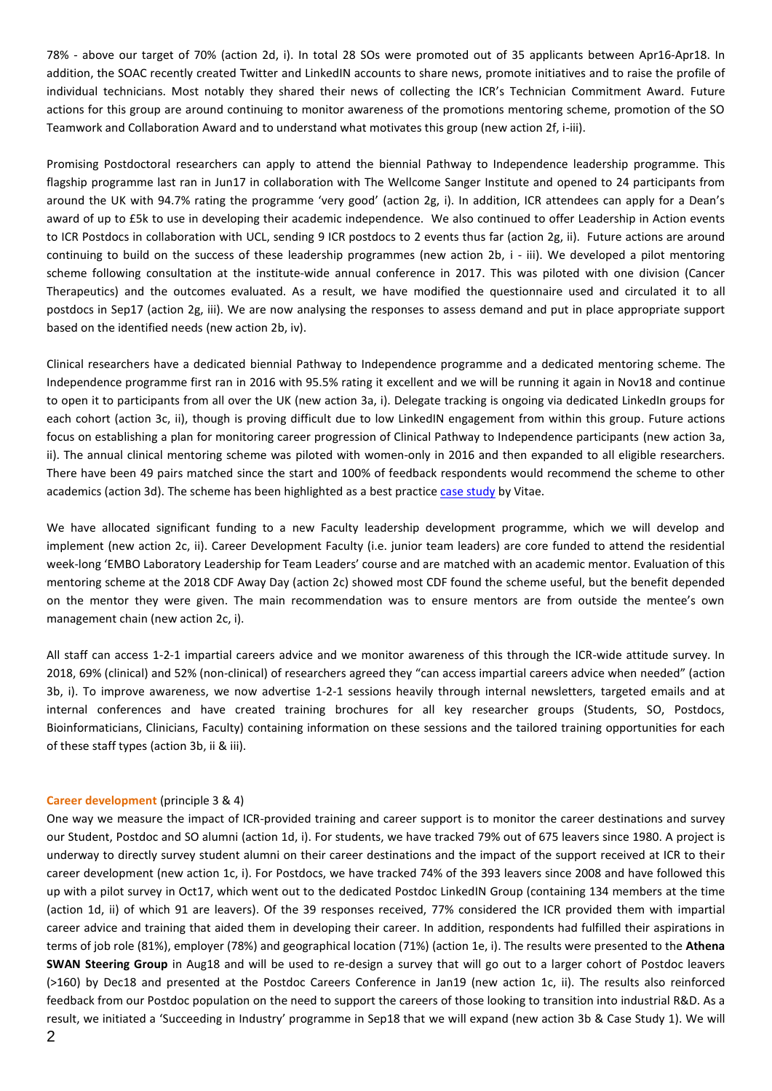78% - above our target of 70% (action 2d, i). In total 28 SOs were promoted out of 35 applicants between Apr16-Apr18. In addition, the SOAC recently created Twitter and LinkedIN accounts to share news, promote initiatives and to raise the profile of individual technicians. Most notably they shared their news of collecting the ICR's Technician Commitment Award. Future actions for this group are around continuing to monitor awareness of the promotions mentoring scheme, promotion of the SO Teamwork and Collaboration Award and to understand what motivates this group (new action 2f, i-iii).

Promising Postdoctoral researchers can apply to attend the biennial Pathway to Independence leadership programme. This flagship programme last ran in Jun17 in collaboration with The Wellcome Sanger Institute and opened to 24 participants from around the UK with 94.7% rating the programme 'very good' (action 2g, i). In addition, ICR attendees can apply for a Dean's award of up to £5k to use in developing their academic independence. We also continued to offer Leadership in Action events to ICR Postdocs in collaboration with UCL, sending 9 ICR postdocs to 2 events thus far (action 2g, ii). Future actions are around continuing to build on the success of these leadership programmes (new action 2b, i - iii). We developed a pilot mentoring scheme following consultation at the institute-wide annual conference in 2017. This was piloted with one division (Cancer Therapeutics) and the outcomes evaluated. As a result, we have modified the questionnaire used and circulated it to all postdocs in Sep17 (action 2g, iii). We are now analysing the responses to assess demand and put in place appropriate support based on the identified needs (new action 2b, iv).

Clinical researchers have a dedicated biennial Pathway to Independence programme and a dedicated mentoring scheme. The Independence programme first ran in 2016 with 95.5% rating it excellent and we will be running it again in Nov18 and continue to open it to participants from all over the UK (new action 3a, i). Delegate tracking is ongoing via dedicated LinkedIn groups for each cohort (action 3c, ii), though is proving difficult due to low LinkedIN engagement from within this group. Future actions focus on establishing a plan for monitoring career progression of Clinical Pathway to Independence participants (new action 3a, ii). The annual clinical mentoring scheme was piloted with women-only in 2016 and then expanded to all eligible researchers. There have been 49 pairs matched since the start and 100% of feedback respondents would recommend the scheme to other academics (action 3d). The scheme has been highlighted as a best practice [case study](https://www.vitae.ac.uk/researchers-professional-development/engagement-influence-and-impact/coaching-and-mentoring-researchers-articles-and-case-studies-from-our-network/cross-organisational-mentoring-to-support-career-development-and-progression-of-female-clinician-researchers) by Vitae.

We have allocated significant funding to a new Faculty leadership development programme, which we will develop and implement (new action 2c, ii). Career Development Faculty (i.e. junior team leaders) are core funded to attend the residential week-long 'EMBO Laboratory Leadership for Team Leaders' course and are matched with an academic mentor. Evaluation of this mentoring scheme at the 2018 CDF Away Day (action 2c) showed most CDF found the scheme useful, but the benefit depended on the mentor they were given. The main recommendation was to ensure mentors are from outside the mentee's own management chain (new action 2c, i).

All staff can access 1-2-1 impartial careers advice and we monitor awareness of this through the ICR-wide attitude survey. In 2018, 69% (clinical) and 52% (non-clinical) of researchers agreed they "can access impartial careers advice when needed" (action 3b, i). To improve awareness, we now advertise 1-2-1 sessions heavily through internal newsletters, targeted emails and at internal conferences and have created training brochures for all key researcher groups (Students, SO, Postdocs, Bioinformaticians, Clinicians, Faculty) containing information on these sessions and the tailored training opportunities for each of these staff types (action 3b, ii & iii).

## **Career development** (principle 3 & 4)

One way we measure the impact of ICR-provided training and career support is to monitor the career destinations and survey our Student, Postdoc and SO alumni (action 1d, i). For students, we have tracked 79% out of 675 leavers since 1980. A project is underway to directly survey student alumni on their career destinations and the impact of the support received at ICR to their career development (new action 1c, i). For Postdocs, we have tracked 74% of the 393 leavers since 2008 and have followed this up with a pilot survey in Oct17, which went out to the dedicated Postdoc LinkedIN Group (containing 134 members at the time (action 1d, ii) of which 91 are leavers). Of the 39 responses received, 77% considered the ICR provided them with impartial career advice and training that aided them in developing their career. In addition, respondents had fulfilled their aspirations in terms of job role (81%), employer (78%) and geographical location (71%) (action 1e, i). The results were presented to the **Athena SWAN Steering Group** in Aug18 and will be used to re-design a survey that will go out to a larger cohort of Postdoc leavers (>160) by Dec18 and presented at the Postdoc Careers Conference in Jan19 (new action 1c, ii). The results also reinforced feedback from our Postdoc population on the need to support the careers of those looking to transition into industrial R&D. As a result, we initiated a 'Succeeding in Industry' programme in Sep18 that we will expand (new action 3b & Case Study 1). We will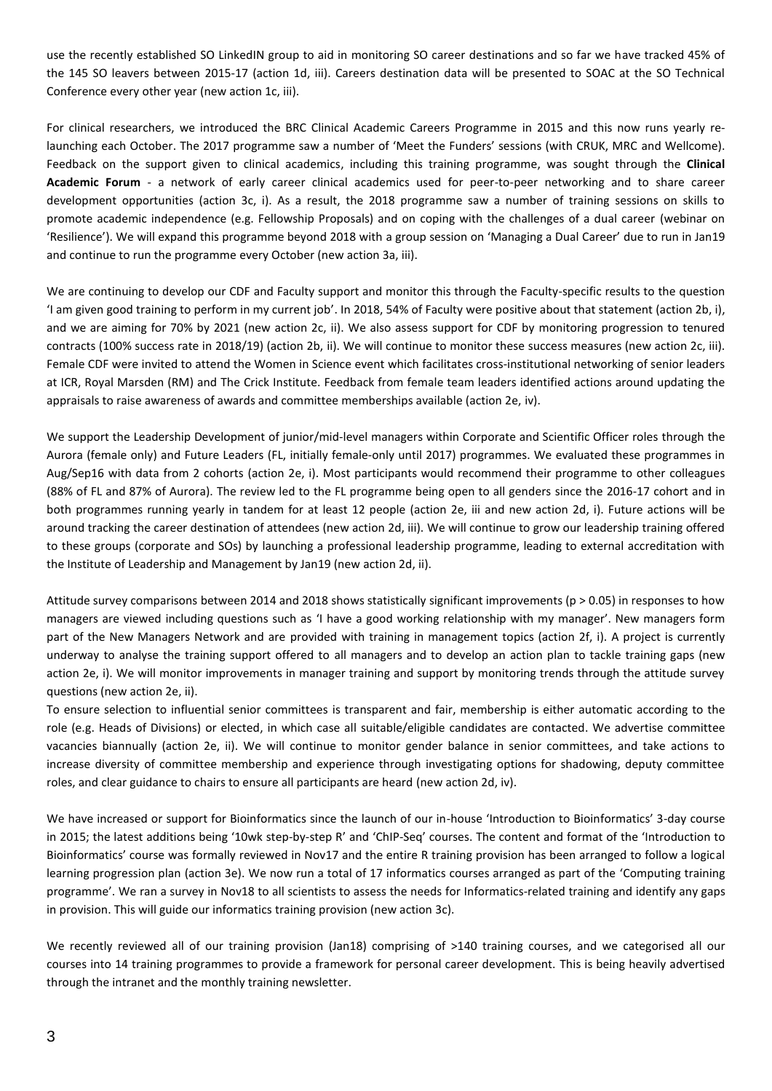use the recently established SO LinkedIN group to aid in monitoring SO career destinations and so far we have tracked 45% of the 145 SO leavers between 2015-17 (action 1d, iii). Careers destination data will be presented to SOAC at the SO Technical Conference every other year (new action 1c, iii).

For clinical researchers, we introduced the BRC Clinical Academic Careers Programme in 2015 and this now runs yearly relaunching each October. The 2017 programme saw a number of 'Meet the Funders' sessions (with CRUK, MRC and Wellcome). Feedback on the support given to clinical academics, including this training programme, was sought through the **Clinical Academic Forum** - a network of early career clinical academics used for peer-to-peer networking and to share career development opportunities (action 3c, i). As a result, the 2018 programme saw a number of training sessions on skills to promote academic independence (e.g. Fellowship Proposals) and on coping with the challenges of a dual career (webinar on 'Resilience'). We will expand this programme beyond 2018 with a group session on 'Managing a Dual Career' due to run in Jan19 and continue to run the programme every October (new action 3a, iii).

We are continuing to develop our CDF and Faculty support and monitor this through the Faculty-specific results to the question 'I am given good training to perform in my current job'. In 2018, 54% of Faculty were positive about that statement (action 2b, i), and we are aiming for 70% by 2021 (new action 2c, ii). We also assess support for CDF by monitoring progression to tenured contracts (100% success rate in 2018/19) (action 2b, ii). We will continue to monitor these success measures (new action 2c, iii). Female CDF were invited to attend the Women in Science event which facilitates cross-institutional networking of senior leaders at ICR, Royal Marsden (RM) and The Crick Institute. Feedback from female team leaders identified actions around updating the appraisals to raise awareness of awards and committee memberships available (action 2e, iv).

We support the Leadership Development of junior/mid-level managers within Corporate and Scientific Officer roles through the Aurora (female only) and Future Leaders (FL, initially female-only until 2017) programmes. We evaluated these programmes in Aug/Sep16 with data from 2 cohorts (action 2e, i). Most participants would recommend their programme to other colleagues (88% of FL and 87% of Aurora). The review led to the FL programme being open to all genders since the 2016-17 cohort and in both programmes running yearly in tandem for at least 12 people (action 2e, iii and new action 2d, i). Future actions will be around tracking the career destination of attendees (new action 2d, iii). We will continue to grow our leadership training offered to these groups (corporate and SOs) by launching a professional leadership programme, leading to external accreditation with the Institute of Leadership and Management by Jan19 (new action 2d, ii).

Attitude survey comparisons between 2014 and 2018 shows statistically significant improvements (p > 0.05) in responses to how managers are viewed including questions such as 'I have a good working relationship with my manager'. New managers form part of the New Managers Network and are provided with training in management topics (action 2f, i). A project is currently underway to analyse the training support offered to all managers and to develop an action plan to tackle training gaps (new action 2e, i). We will monitor improvements in manager training and support by monitoring trends through the attitude survey questions (new action 2e, ii).

To ensure selection to influential senior committees is transparent and fair, membership is either automatic according to the role (e.g. Heads of Divisions) or elected, in which case all suitable/eligible candidates are contacted. We advertise committee vacancies biannually (action 2e, ii). We will continue to monitor gender balance in senior committees, and take actions to increase diversity of committee membership and experience through investigating options for shadowing, deputy committee roles, and clear guidance to chairs to ensure all participants are heard (new action 2d, iv).

We have increased or support for Bioinformatics since the launch of our in-house 'Introduction to Bioinformatics' 3-day course in 2015; the latest additions being '10wk step-by-step R' and 'ChIP-Seq' courses. The content and format of the 'Introduction to Bioinformatics' course was formally reviewed in Nov17 and the entire R training provision has been arranged to follow a logical learning progression plan (action 3e). We now run a total of 17 informatics courses arranged as part of the 'Computing training programme'. We ran a survey in Nov18 to all scientists to assess the needs for Informatics-related training and identify any gaps in provision. This will guide our informatics training provision (new action 3c).

We recently reviewed all of our training provision (Jan18) comprising of >140 training courses, and we categorised all our courses into 14 training programmes to provide a framework for personal career development. This is being heavily advertised through the intranet and the monthly training newsletter.